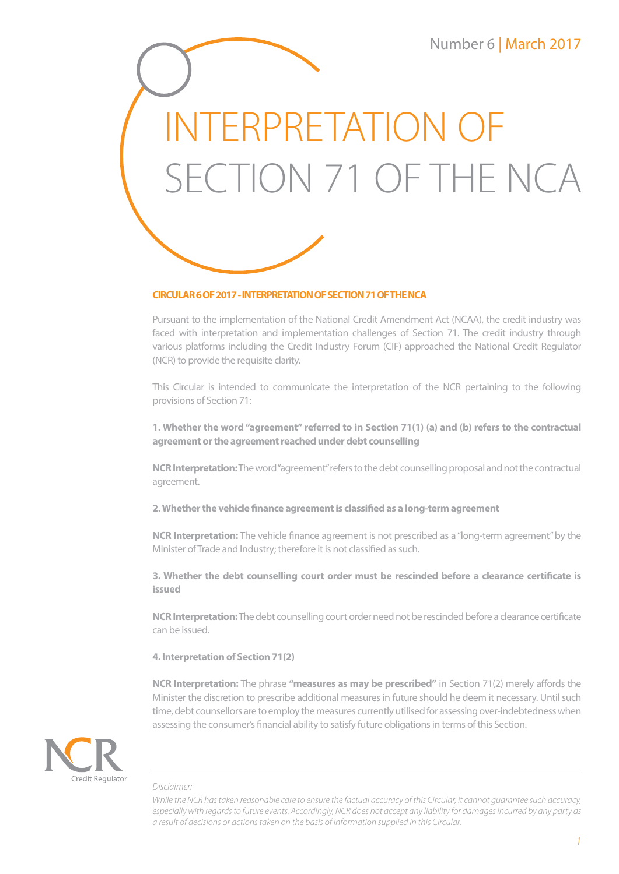# INTERPRETATION OF SECTION 71 OF THE NCA



# **CIRCULAR 6 OF 2017 - INTERPRETATION OF SECTION 71 OF THE NCA**

Pursuant to the implementation of the National Credit Amendment Act (NCAA), the credit industry was faced with interpretation and implementation challenges of Section 71. The credit industry through various platforms including the Credit Industry Forum (CIF) approached the National Credit Regulator (NCR) to provide the requisite clarity.

This Circular is intended to communicate the interpretation of the NCR pertaining to the following provisions of Section 71:

**1. Whether the word "agreement" referred to in Section 71(1) (a) and (b) refers to the contractual agreement or the agreement reached under debt counselling**

**NCR Interpretation:** The word "agreement" refers to the debt counselling proposal and not the contractual agreement.

**2. Whether the vehicle finance agreement is classified as a long-term agreement**

**NCR Interpretation:** The vehicle finance agreement is not prescribed as a "long-term agreement" by the Minister of Trade and Industry; therefore it is not classified as such.

**3. Whether the debt counselling court order must be rescinded before a clearance certificate is issued**

**NCR Interpretation:** The debt counselling court order need not be rescinded before a clearance certificate can be issued.

## **4. Interpretation of Section 71(2)**

**NCR Interpretation:** The phrase **"measures as may be prescribed"** in Section 71(2) merely affords the Minister the discretion to prescribe additional measures in future should he deem it necessary. Until such time, debt counsellors are to employ the measures currently utilised for assessing over-indebtedness when assessing the consumer's financial ability to satisfy future obligations in terms of this Section.



#### *Disclaimer:*

*While the NCR has taken reasonable care to ensure the factual accuracy of this Circular, it cannot guarantee such accuracy, especially with regards to future events. Accordingly, NCR does not accept any liability for damages incurred by any party as a result of decisions or actions taken on the basis of information supplied in this Circular.*